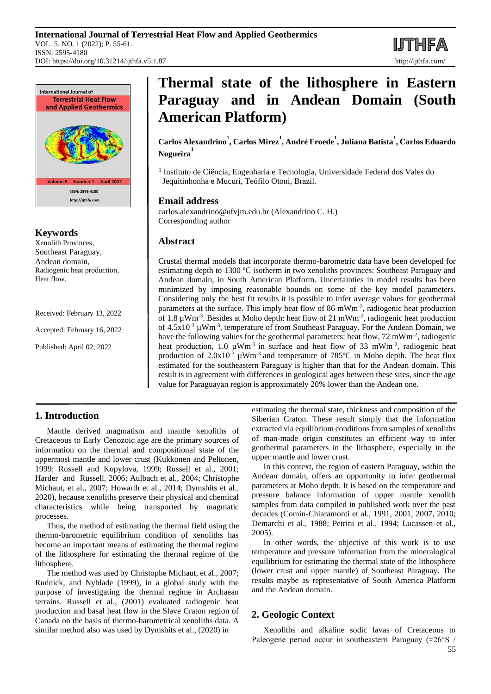**IJTHFA** 



# **Keywords**

Xenolith Provinces, Southeast Paraguay, Andean domain, Radiogenic heat production, Heat flow.

Received: February 13, 2022

Accepted: February 16, 2022

Published: April 02, 2022

# **Thermal state of the lithosphere in Eastern Paraguay and in Andean Domain (South American Platform)**

**Carlos Alexandrino<sup>1</sup> , Carlos Mirez<sup>1</sup> , André Froede<sup>1</sup> , Juliana Batista<sup>1</sup> , Carlos Eduardo Nogueira<sup>1</sup>**

<sup>1</sup> Instituto de Ciência, Engenharia e Tecnologia, Universidade Federal dos Vales do Jequitinhonha e Mucuri, Teófilo Otoni, Brazil.

# **Email address**

carlos.alexandrino@ufvjm.edu.br (Alexandrino C. H.) Corresponding author

# **Abstract**

Crustal thermal models that incorporate thermo-barometric data have been developed for estimating depth to 1300 ºC isotherm in two xenoliths provinces: Southeast Paraguay and Andean domain, in South American Platform. Uncertainties in model results has been minimized by imposing reasonable bounds on some of the key model parameters. Considering only the best fit results it is possible to infer average values for geothermal parameters at the surface. This imply heat flow of 86 mWm<sup>-2</sup>, radiogenic heat production of 1.8  $\mu$ Wm<sup>-3</sup>. Besides at Moho depth: heat flow of 21 mWm<sup>-2</sup>, radiogenic heat production of  $4.5 \times 10^{-3}$   $\mu$ Wm<sup>-3</sup>, temperature of from Southeast Paraguay. For the Andean Domain, we have the following values for the geothermal parameters: heat flow, 72 mWm<sup>-2</sup>, radiogenic heat production, 1.0  $\mu$ Wm<sup>-3</sup> in surface and heat flow of 33 mWm<sup>-2</sup>, radiogenic heat production of  $2.0x10^{-3}$   $\mu$ Wm<sup>-3</sup> and temperature of 785°C in Moho depth. The heat flux estimated for the southeastern Paraguay is higher than that for the Andean domain. This result is in agreement with differences in geological ages between these sites, since the age value for Paraguayan region is approximately 20% lower than the Andean one.

# **1. Introduction**

Mantle derived magmatism and mantle xenoliths of Cretaceous to Early Cenozoic age are the primary sources of information on the thermal and compositional state of the uppermost mantle and lower crust (Kukkonen and Peltonen, 1999; Russell and Kopylova, 1999; Russell et al., 2001; Harder and Russell, 2006; Aulbach et al., 2004; Christophe Michaut, et al., 2007; Howarth et al., 2014; Dymshits et al., 2020), because xenoliths preserve their physical and chemical characteristics while being transported by magmatic processes.

Thus, the method of estimating the thermal field using the thermo-barometric equilibrium condition of xenoliths has become an important means of estimating the thermal regime of the lithosphere for estimating the thermal regime of the lithosphere.

The method was used by Christophe Michaut, et al., 2007; Rudnick*,* and Nyblade (1999)*,* in a global study with the purpose of investigating the thermal regime in Archaean terrains. Russell et al., (2001) evaluated radiogenic heat production and basal heat flow in the Slave Craton region of Canada on the basis of thermo-barometrical xenoliths data. A similar method also was used by Dymshits et al., (2020) in

estimating the thermal state, thickness and composition of the Siberian Craton. These result simply that the information extracted via equilibrium conditions from samples of xenoliths of man-made origin constitutes an efficient way to infer geothermal parameters in the lithosphere, especially in the upper mantle and lower crust.

In this context, the region of eastern Paraguay, within the Andean domain, offers an opportunity to infer geothermal parameters at Moho depth. It is based on the temperature and pressure balance information of upper mantle xenolith samples from data compiled in published work over the past decades (Comin-Chiaramonti et al., 1991, 2001, 2007, 2010; Demarchi et al., 1988; Petrini et al., 1994; Lucassen et al., 2005).

In other words, the objective of this work is to use temperature and pressure information from the mineralogical equilibrium for estimating the thermal state of the lithosphere (lower crust and upper mantle) of Southeast Paraguay. The results maybe as representative of South America Platform and the Andean domain.

# **2. Geologic Context**

Xenoliths and alkaline sodic lavas of Cretaceous to Paleogene period occur in southeastern Paraguay (≈26°S /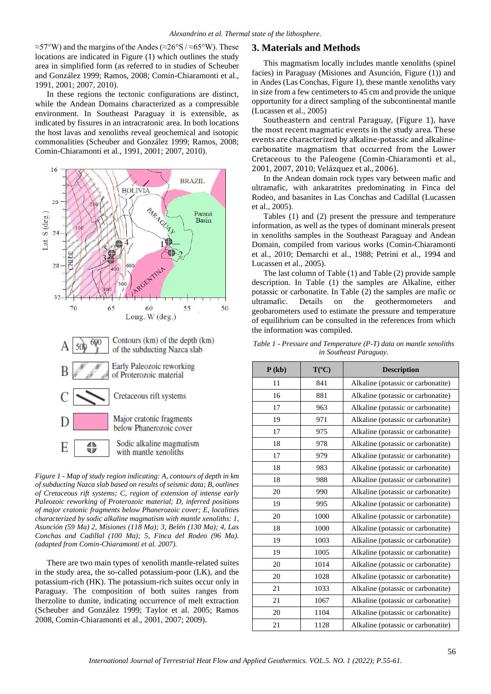≈57°W) and the margins of the Andes (≈26°S / ≈65°W). These locations are indicated in Figure (1) which outlines the study area in simplified form (as referred to in studies of Scheuber and González 1999; Ramos, 2008; Comin-Chiaramonti et al., 1991, 2001; 2007, 2010).

In these regions the tectonic configurations are distinct, while the Andean Domains characterized as a compressible environment. In Southeast Paraguay it is extensible, as indicated by fissures in an intracratonic area. In both locations the host lavas and xenoliths reveal geochemical and isotopic commonalities (Scheuber and González 1999; Ramos, 2008; Comin-Chiaramonti et al., 1991, 2001; 2007, 2010).



*Figure 1 - Map of study region indicating: A, contours of depth in km of subducting Nazca slab based on results of seismic data; B, outlines of Cretaceous rift systems; C, region of extension of intense early Paleozoic reworking of Proterozoic material; D, inferred positions of major cratonic fragments below Phanerozoic cover; E, localities characterized by sodic alkaline magmatism with mantle xenoliths: 1, Asunción (59 Ma) 2, Misiones (118 Ma); 3, Belén (130 Ma); 4, Las Conchas and Cadillal (100 Ma); 5, Finca del Rodeo (96 Ma). (adapted from Comin-Chiaramonti et al. 2007).*

There are two main types of xenolith mantle-related suites in the study area, the so-called potassium-poor (LK), and the potassium-rich (HK). The potassium-rich suites occur only in Paraguay. The composition of both suites ranges from lherzolite to dunite, indicating occurrence of melt extraction (Scheuber and González 1999; Taylor et al. 2005; Ramos 2008, Comin-Chiaramonti et al., 2001, 2007; 2009).

# **3. Materials and Methods**

This magmatism locally includes mantle xenoliths (spinel facies) in Paraguay (Misiones and Asunción, Figure (1)) and in Andes (Las Conchas, Figure 1), these mantle xenoliths vary in size from a few centimeters to 45 cm and provide the unique opportunity for a direct sampling of the subcontinental mantle (Lucassen et al., 2005)

Southeastern and central Paraguay, (Figure 1), have the most recent magmatic events in the study area. These events are characterized by alkaline-potassic and alkalinecarbonatite magmatism that occurred from the Lower Cretaceous to the Paleogene (Comin-Chiaramonti et al., 2001, 2007, 2010; Velázquez et al., 2006).

In the Andean domain rock types vary between mafic and ultramafic, with ankaratrites predominating in Finca del Rodeo, and basanites in Las Conchas and Cadillal (Lucassen et al., 2005).

Tables (1) and (2) present the pressure and temperature information, as well as the types of dominant minerals present in xenoliths samples in the Southeast Paraguay and Andean Domain, compiled from various works (Comin-Chiaramonti et al., 2010; Demarchi et al., 1988; Petrini et al., 1994 and Lucassen et al., 2005).

The last column of Table (1) and Table (2) provide sample description. In Table (1) the samples are Alkaline, either potassic or carbonatite. In Table (2) the samples are mafic or ultramafic. Details on the geothermometers and geobarometers used to estimate the pressure and temperature of equilibrium can be consulted in the references from which the information was compiled.

*Table 1 - Pressure and Temperature (P-T) data on mantle xenoliths in Southeast Paraguay.*

| P(kb) | $T({}^oC)$ | <b>Description</b>                 |  |  |
|-------|------------|------------------------------------|--|--|
| 11    | 841        | Alkaline (potassic or carbonatite) |  |  |
| 16    | 881        | Alkaline (potassic or carbonatite) |  |  |
| 17    | 963        | Alkaline (potassic or carbonatite) |  |  |
| 19    | 971        | Alkaline (potassic or carbonatite) |  |  |
| 17    | 975        | Alkaline (potassic or carbonatite) |  |  |
| 18    | 978        | Alkaline (potassic or carbonatite) |  |  |
| 17    | 979        | Alkaline (potassic or carbonatite) |  |  |
| 18    | 983        | Alkaline (potassic or carbonatite) |  |  |
| 18    | 988        | Alkaline (potassic or carbonatite) |  |  |
| 20    | 990        | Alkaline (potassic or carbonatite) |  |  |
| 19    | 995        | Alkaline (potassic or carbonatite) |  |  |
| 20    | 1000       | Alkaline (potassic or carbonatite) |  |  |
| 18    | 1000       | Alkaline (potassic or carbonatite) |  |  |
| 19    | 1003       | Alkaline (potassic or carbonatite) |  |  |
| 19    | 1005       | Alkaline (potassic or carbonatite) |  |  |
| 20    | 1014       | Alkaline (potassic or carbonatite) |  |  |
| 20    | 1028       | Alkaline (potassic or carbonatite) |  |  |
| 21    | 1033       | Alkaline (potassic or carbonatite) |  |  |
| 21    | 1067       | Alkaline (potassic or carbonatite) |  |  |
| 20    | 1104       | Alkaline (potassic or carbonatite) |  |  |
| 21    | 1128       | Alkaline (potassic or carbonatite) |  |  |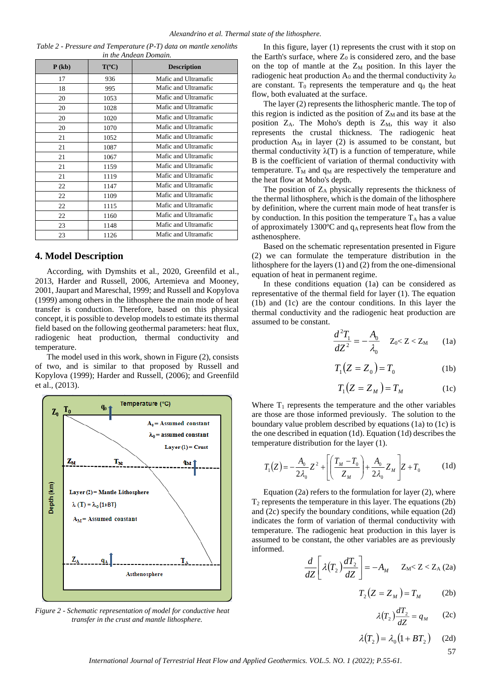| Table 2 - Pressure and Temperature (P-T) data on mantle xenoliths |
|-------------------------------------------------------------------|
| in the Andean Domain.                                             |

| P(kb) | $T(^{\circ}C)$ | <b>Description</b>   |  |  |
|-------|----------------|----------------------|--|--|
| 17    | 936            | Mafic and Ultramafic |  |  |
| 18    | 995            | Mafic and Ultramafic |  |  |
| 20    | 1053           | Mafic and Ultramafic |  |  |
| 20    | 1028           | Mafic and Ultramafic |  |  |
| 20    | 1020           | Mafic and Ultramafic |  |  |
| 20    | 1070           | Mafic and Ultramafic |  |  |
| 21    | 1052           | Mafic and Ultramafic |  |  |
| 21    | 1087           | Mafic and Ultramafic |  |  |
| 21    | 1067           | Mafic and Ultramafic |  |  |
| 21    | 1159           | Mafic and Ultramafic |  |  |
| 21    | 1119           | Mafic and Ultramafic |  |  |
| 22    | 1147           | Mafic and Ultramafic |  |  |
| 22    | 1109           | Mafic and Ultramafic |  |  |
| 22    | 1115           | Mafic and Ultramafic |  |  |
| 22    | 1160           | Mafic and Ultramafic |  |  |
| 23    | 1148           | Mafic and Ultramafic |  |  |
| 23    | 1126           | Mafic and Ultramafic |  |  |

## **4. Model Description**

According, with Dymshits et al., 2020, Greenfild et al., 2013, Harder and Russell, 2006, Artemieva and Mooney, 2001, Jaupart and Mareschal, 1999; and Russell and Kopylova (1999) among others in the lithosphere the main mode of heat transfer is conduction. Therefore, based on this physical concept, it is possible to develop models to estimate its thermal field based on the following geothermal parameters: heat flux, radiogenic heat production, thermal conductivity and temperature.

The model used in this work, shown in Figure (2), consists of two, and is similar to that proposed by Russell and Kopylova (1999); Harder and Russell, (2006); and Greenfild et al., (2013).



*Figure 2 - Schematic representation of model for conductive heat transfer in the crust and mantle lithosphere.*

In this figure, layer (1) represents the crust with it stop on the Earth's surface, where  $Z_0$  is considered zero, and the base on the top of mantle at the  $Z_M$  position. In this layer the radiogenic heat production  $A_0$  and the thermal conductivity  $\lambda_0$ are constant.  $T_0$  represents the temperature and  $q_0$  the heat flow, both evaluated at the surface.

The layer (2) represents the lithospheric mantle. The top of this region is indicted as the position of  $Z_M$  and its base at the position  $Z_A$ . The Moho's depth is  $Z_M$ , this way it also represents the crustal thickness. The radiogenic heat production  $A_M$  in layer (2) is assumed to be constant, but thermal conductivity  $\lambda(T)$  is a function of temperature, while B is the coefficient of variation of thermal conductivity with temperature.  $T_M$  and  $q_M$  are respectively the temperature and the heat flow at Moho's depth.

The position of  $Z_A$  physically represents the thickness of the thermal lithosphere, which is the domain of the lithosphere by definition, where the current main mode of heat transfer is by conduction. In this position the temperature  $T_A$  has a value of approximately 1300 $^{\circ}$ C and  $q_A$  represents heat flow from the asthenosphere.

Based on the schematic representation presented in Figure (2) we can formulate the temperature distribution in the lithosphere for the layers (1) and (2) from the one-dimensional equation of heat in permanent regime.

In these conditions equation (1a) can be considered as representative of the thermal field for layer (1). The equation (1b) and (1c) are the contour conditions. In this layer the thermal conductivity and the radiogenic heat production are assumed to be constant.

$$
\frac{d^2T_1}{dZ^2} = -\frac{A_0}{\lambda_0} \quad Z_0 < Z < Z_M \qquad (1a)
$$

$$
T_1(Z = Z_0) = T_0 \tag{1b}
$$

$$
T_1(Z = Z_M) = T_M \tag{1c}
$$

Where  $T_1$  represents the temperature and the other variables are those are those informed previously. The solution to the boundary value problem described by equations (1a) to (1c) is the one described in equation (1d). Equation (1d) describes the temperature distribution for the layer (1).

$$
T_1(Z) = -\frac{A_0}{2\lambda_0} Z^2 + \left[ \left( \frac{T_M - T_0}{Z_M} \right) + \frac{A_0}{2\lambda_0} Z_M \right] Z + T_0 \tag{1d}
$$

Equation (2a) refers to the formulation for layer (2), where  $T<sub>2</sub>$  represents the temperature in this layer. The equations (2b) and (2c) specify the boundary conditions, while equation (2d) indicates the form of variation of thermal conductivity with temperature. The radiogenic heat production in this layer is assumed to be constant, the other variables are as previously informed.

$$
\frac{d}{dZ}\left[\lambda(T_2)\frac{dT_2}{dZ}\right] = -A_M \qquad Z_M < Z < Z_A (2a)
$$

$$
T_2(Z = Z_M) = T_M \qquad (2b)
$$

$$
\lambda(T_2)\frac{dT_2}{dZ} = q_M \qquad (2c)
$$

$$
\lambda(T_2) = \lambda_0 \big( 1 + BT_2 \big) \qquad (2d)
$$

*International Journal of Terrestrial Heat Flow and Applied Geothermics. VOL.5. NO. 1 (2022); P.55-61.*

57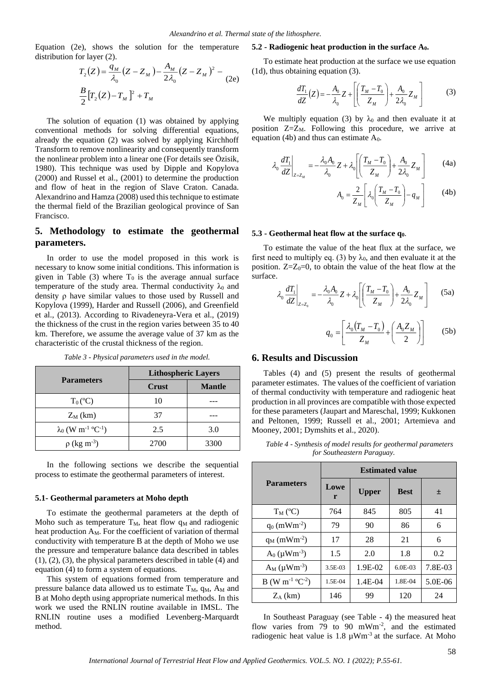Equation (2e), shows the solution for the temperature distribution for layer (2).

$$
T_2(Z) = \frac{q_M}{\lambda_0} (Z - Z_M) - \frac{A_M}{2\lambda_0} (Z - Z_M)^2 -
$$
 (1d), thus obtaining equation (3).  

$$
\frac{B}{2} [T_2(Z) - T_M]^2 + T_M
$$
 
$$
\frac{dT_1}{dZ}(Z) = -\frac{A_0}{\lambda_0} Z + \left[ \left( \frac{dT_1}{Z} \right) - \frac{F_2}{2\lambda_0} \right]
$$

The solution of equation (1) was obtained by applying conventional methods for solving differential equations, already the equation (2) was solved by applying Kirchhoff Transform to remove nonlinearity and consequently transform the nonlinear problem into a linear one (For details see Özisik, 1980). This technique was used by Dipple and Kopylova (2000) and Russel et al., (2001) to determine the production and flow of heat in the region of Slave Craton. Canada. Alexandrino and Hamza (2008) used this technique to estimate the thermal field of the Brazilian geological province of San Francisco.

# **5. Methodology to estimate the geothermal parameters.**

In order to use the model proposed in this work is necessary to know some initial conditions. This information is given in Table (3) where  $T_0$  is the average annual surface temperature of the study area. Thermal conductivity  $\lambda_0$  and density ρ have similar values to those used by Russell and Kopylova (1999), Harder and Russell (2006), and Greenfield et al., (2013). According to Rivadeneyra-Vera et al., (2019) the thickness of the crust in the region varies between 35 to 40 km. Therefore, we assume the average value of 37 km as the characteristic of the crustal thickness of the region.

|                                                   | <b>Lithospheric Layers</b> |               |  |
|---------------------------------------------------|----------------------------|---------------|--|
| <b>Parameters</b>                                 | Crust                      | <b>Mantle</b> |  |
| $T_0$ (°C)                                        | 10                         |               |  |
| $Z_M$ (km)                                        | 37                         |               |  |
| $\lambda_0$ (W m <sup>-1</sup> °C <sup>-1</sup> ) | 2.5                        | 3.0           |  |
| $\rho$ (kg m <sup>-3</sup> )                      | 2700                       | 3300          |  |

*Table 3 - Physical parameters used in the model.*

In the following sections we describe the sequential process to estimate the geothermal parameters of interest.

#### **5.1- Geothermal parameters at Moho depth**

To estimate the geothermal parameters at the depth of Moho such as temperature  $T_M$ , heat flow  $q_M$  and radiogenic heat production  $A_M$ . For the coefficient of variation of thermal conductivity with temperature B at the depth of Moho we use the pressure and temperature balance data described in tables (1), (2), (3), the physical parameters described in table (4) and equation (4) to form a system of equations.

This system of equations formed from temperature and pressure balance data allowed us to estimate  $T_M$ ,  $q_M$ ,  $A_M$  and B at Moho depth using appropriate numerical methods. In this work we used the RNLIN routine available in IMSL. The RNLIN routine uses a modified Levenberg-Marquardt method.

#### **5.2 - Radiogenic heat production in the surface A0.**

To estimate heat production at the surface we use equation

$$
\frac{dT_1}{dZ}(Z) = -\frac{A_0}{\lambda_0} Z + \left[ \left( \frac{T_M - T_0}{Z_M} \right) + \frac{A_0}{2\lambda_0} Z_M \right]
$$
(3)

We multiply equation (3) by  $\lambda_0$  and then evaluate it at position  $Z=Z_M$ . Following this procedure, we arrive at equation (4b) and thus can estimate  $A_0$ .

$$
\lambda_0 \frac{dT_1}{dZ}\bigg|_{Z=Z_M} = -\frac{\lambda_0 A_0}{\lambda_0} Z + \lambda_0 \left[ \left( \frac{T_M - T_0}{Z_M} \right) + \frac{A_0}{2\lambda_0} Z_M \right]
$$
(4a)

$$
A_0 = \frac{2}{Z_M} \left[ \lambda_0 \left( \frac{T_M - T_0}{Z_M} \right) - q_M \right] \tag{4b}
$$

#### **5.3 - Geothermal heat flow at the surface q0**.

To estimate the value of the heat flux at the surface, we first need to multiply eq. (3) by  $\lambda_0$ , and then evaluate it at the position.  $Z=Z_0=0$ , to obtain the value of the heat flow at the surface.

$$
\lambda_0 \frac{dT_1}{dZ}\bigg|_{Z=Z_0} = -\frac{\lambda_0 A_0}{\lambda_0} Z + \lambda_0 \left[ \left( \frac{T_M - T_0}{Z_M} \right) + \frac{A_0}{2\lambda_0} Z_M \right]
$$
 (5a)

$$
q_0 = \left[\frac{\lambda_0 (T_M - T_0)}{Z_M} + \left(\frac{A_0 Z_M}{2}\right)\right]
$$
 (5b)

# **6. Results and Discussion**

Tables (4) and (5) present the results of geothermal parameter estimates. The values of the coefficient of variation of thermal conductivity with temperature and radiogenic heat production in all provinces are compatible with those expected for these parameters (Jaupart and Mareschal, 1999; Kukkonen and Peltonen, 1999; Russell et al., 2001; Artemieva and Mooney, 2001; Dymshits et al., 2020).

*Table 4 - Synthesis of model results for geothermal parameters for Southeastern Paraguay.*

|                            | <b>Estimated value</b> |              |             |           |
|----------------------------|------------------------|--------------|-------------|-----------|
| <b>Parameters</b>          | Lowe<br>r              | <b>Upper</b> | <b>Best</b> | 土         |
| $T_M$ (°C)                 | 764                    | 845          | 805         | 41        |
| $q_0$ (mWm <sup>-2</sup> ) | 79                     | 90           | 86          | 6         |
| $q_M$ (mWm <sup>-2</sup> ) | 17                     | 28           | 21          | 6         |
| $A_0 (\mu W m^{-3})$       | 1.5                    | 2.0          | 1.8         | 0.2       |
| $A_M$ ( $\mu Wm^{-3}$ )    | 3.5E-03                | $1.9E-02$    | $6.0E-03$   | 7.8E-03   |
| $B(W m^{-1} C^{-2})$       | 1.5E-04                | $1.4E-04$    | 1.8E-04     | $5.0E-06$ |
| $Z_A$ (km)                 | 146                    | 99           | 120         | 24        |

In Southeast Paraguay (see Table - 4) the measured heat flow varies from 79 to 90 mWm<sup>-2</sup>, and the estimated radiogenic heat value is  $1.8 \mu Wm^{-3}$  at the surface. At Moho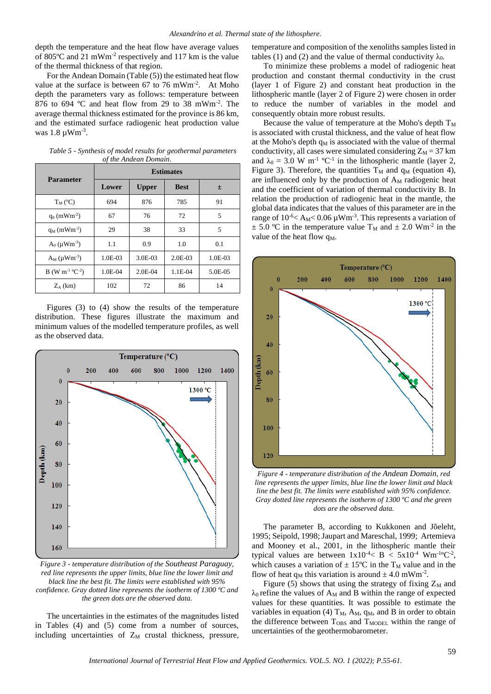depth the temperature and the heat flow have average values of 805ºC and 21 mWm-2 respectively and 117 km is the value of the thermal thickness of that region.

For the Andean Domain (Table (5)) the estimated heat flow value at the surface is between  $67$  to  $76$  mWm<sup>-2</sup>. At Moho depth the parameters vary as follows: temperature between 876 to 694 ºC and heat flow from 29 to 38 mWm-2 . The average thermal thickness estimated for the province is 86 km, and the estimated surface radiogenic heat production value was  $1.8 \mu Wm^{-3}$ .

| <b>Parameter</b>                        | <b>Estimates</b> |              |             |         |
|-----------------------------------------|------------------|--------------|-------------|---------|
|                                         | Lower            | <b>Upper</b> | <b>Best</b> | 士       |
| $T_M$ (°C)                              | 694              | 876          | 785         | 91      |
| $q_0$ (mWm <sup>-2</sup> )              | 67               | 76           | 72          | 5       |
| $q_M$ (mWm <sup>-2</sup> )              | 29               | 38           | 33          | 5       |
| $A_0$ ( $\mu Wm^{-3}$ )                 | 1.1              | 0.9          | 1.0         | 0.1     |
| $A_M$ (µ $Wm^{-3}$ )                    | $1.0E-03$        | 3.0E-03      | $2.0E-03$   | 1.0E-03 |
| B (W m <sup>-1</sup> °C <sup>-2</sup> ) | 1.0E-04          | $2.0E - 04$  | 1.1E-04     | 5.0E-05 |
| $Z_A$ (km)                              | 102              | 72           | 86          | 14      |

*Table 5 - Synthesis of model results for geothermal parameters of the Andean Domain.*

Figures (3) to (4) show the results of the temperature distribution. These figures illustrate the maximum and minimum values of the modelled temperature profiles, as well as the observed data.



*Figure 3 - temperature distribution of the Southeast Paraguay, red line represents the upper limits, blue line the lower limit and black line the best fit. The limits were established with 95% confidence. Gray dotted line represents the isotherm of 1300 ºC and the green dots are the observed data.*

The uncertainties in the estimates of the magnitudes listed in Tables (4) and (5) come from a number of sources, including uncertainties of  $Z_M$  crustal thickness, pressure, temperature and composition of the xenoliths samples listed in tables (1) and (2) and the value of thermal conductivity  $\lambda_0$ .

To minimize these problems a model of radiogenic heat production and constant thermal conductivity in the crust (layer 1 of Figure 2) and constant heat production in the lithospheric mantle (layer 2 of Figure 2) were chosen in order to reduce the number of variables in the model and consequently obtain more robust results.

Because the value of temperature at the Moho's depth  $T_M$ is associated with crustal thickness, and the value of heat flow at the Moho's depth  $q_M$  is associated with the value of thermal conductivity, all cases were simulated considering  $Z_M = 37$  km and  $\lambda_0 = 3.0$  W m<sup>-1</sup> °C<sup>-1</sup> in the lithospheric mantle (layer 2, Figure 3). Therefore, the quantities  $T_M$  and  $q_M$  (equation 4), are influenced only by the production of  $A_M$  radiogenic heat and the coefficient of variation of thermal conductivity B. In relation the production of radiogenic heat in the mantle, the global data indicates that the values of this parameter are in the range of  $10^{-6}$  < A<sub>M</sub> < 0.06  $\mu$ Wm<sup>-3</sup>. This represents a variation of  $\pm$  5.0 °C in the temperature value T<sub>M</sub> and  $\pm$  2.0 Wm<sup>-2</sup> in the value of the heat flow q<sub>M</sub>.



*Figure 4 - temperature distribution of the Andean Domain, red line represents the upper limits, blue line the lower limit and black line the best fit. The limits were established with 95% confidence. Gray dotted line represents the isotherm of 1300 ºC and the green dots are the observed data.*

The parameter B, according to Kukkonen and Jõeleht, 1995; Seipold, 1998; Jaupart and Mareschal, 1999; Artemieva and Mooney et al., 2001, in the lithospheric mantle their typical values are between  $1x10^{-4} < B < 5x10^{-4}$  Wm<sup>-1o</sup>C<sup>-2</sup>, which causes a variation of  $\pm$  15°C in the T<sub>M</sub> value and in the flow of heat  $q_M$  this variation is around  $\pm$  4.0 mWm<sup>-2</sup>.

Figure (5) shows that using the strategy of fixing  $Z_M$  and  $\lambda_0$  refine the values of A<sub>M</sub> and B within the range of expected values for these quantities. It was possible to estimate the variables in equation (4)  $T_M$ ,  $A_M$ ,  $q_M$ , and B in order to obtain the difference between  $T_{OBS}$  and  $T_{MODE}$  within the range of uncertainties of the geothermobarometer.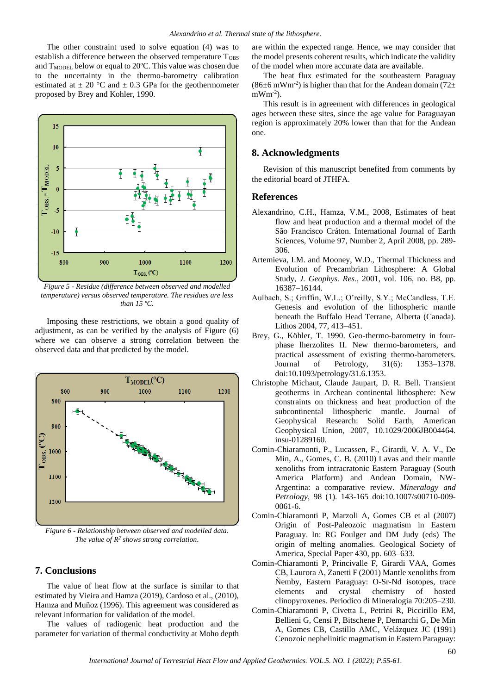The other constraint used to solve equation (4) was to establish a difference between the observed temperature T<sub>OBS</sub> and  $T_{MODE}$  below or equal to 20°C. This value was chosen due to the uncertainty in the thermo-barometry calibration estimated at  $\pm 20$  °C and  $\pm 0.3$  GPa for the geothermometer proposed by Brey and Kohler, 1990.



*Figure 5 - Residue (difference between observed and modelled temperature) versus observed temperature. The residues are less than 15 ºC.*

Imposing these restrictions, we obtain a good quality of adjustment, as can be verified by the analysis of Figure (6) where we can observe a strong correlation between the observed data and that predicted by the model.



*Figure 6 - Relationship between observed and modelled data. The value of R<sup>2</sup> shows strong correlation.*

## **7. Conclusions**

The value of heat flow at the surface is similar to that estimated by Vieira and Hamza (2019), Cardoso et al., (2010), Hamza and Muñoz (1996). This agreement was considered as relevant information for validation of the model.

The values of radiogenic heat production and the parameter for variation of thermal conductivity at Moho depth

are within the expected range. Hence, we may consider that the model presents coherent results, which indicate the validity of the model when more accurate data are available.

The heat flux estimated for the southeastern Paraguay (86 $\pm$ 6 mWm<sup>-2</sup>) is higher than that for the Andean domain (72 $\pm$  $mWm^{-2}$ ).

This result is in agreement with differences in geological ages between these sites, since the age value for Paraguayan region is approximately 20% lower than that for the Andean one.

## **8. Acknowledgments**

Revision of this manuscript benefited from comments by the editorial board of JTHFA.

#### **References**

- Alexandrino, C.H., Hamza, V.M., 2008, Estimates of heat flow and heat production and a thermal model of the São Francisco Cráton. [International Journal of Earth](http://www.ingentaconnect.com/content/klu/531;jsessionid=at92032kh9qoi.alice)  [Sciences,](http://www.ingentaconnect.com/content/klu/531;jsessionid=at92032kh9qoi.alice) Volume 97, Number 2, April 2008, pp. 289- 306.
- Artemieva, I.M. and Mooney, W.D., Thermal Thickness and Evolution of Precambrian Lithosphere: A Global Study, *J. Geophys. Res.*, 2001, vol. 106, no. B8, pp. 16387–16144.
- Aulbach, S.; Griffin, W.L.; O'reilly, S.Y.; McCandless, T.E. Genesis and evolution of the lithospheric mantle beneath the Buffalo Head Terrane, Alberta (Canada). Lithos 2004, 77, 413–451.
- Brey, G., Köhler, T. 1990. Geo-thermo-barometry in fourphase lherzolites II. New thermo-barometers, and practical assessment of existing thermo-barometers. Journal of Petrology, 31(6): 1353–1378. doi:10.1093/petrology/31.6.1353.
- Christophe Michaut, Claude Jaupart, D. R. Bell. Transient geotherms in Archean continental lithosphere: New constraints on thickness and heat production of the subcontinental lithospheric mantle. Journal of Geophysical Research: Solid Earth, American Geophysical Union, 2007, 10.1029/2006JB004464. insu-01289160.
- Comin-Chiaramonti, P., Lucassen, F., Girardi, V. A. V., De Min, A., Gomes, C. B. (2010) Lavas and their mantle xenoliths from intracratonic Eastern Paraguay (South America Platform) and Andean Domain, NW-Argentina: a comparative review. *Mineralogy and Petrology*, 98 (1). 143-165 [doi:10.1007/s00710-009-](https://doi.org/10.1007/s00710-009-0061-6) [0061-6.](https://doi.org/10.1007/s00710-009-0061-6)
- Comin-Chiaramonti P, Marzoli A, Gomes CB et al (2007) Origin of Post-Paleozoic magmatism in Eastern Paraguay. In: RG Foulger and DM Judy (eds) The origin of melting anomalies. Geological Society of America, Special Paper 430, pp. 603–633.
- Comin-Chiaramonti P, Princivalle F, Girardi VAA, Gomes CB, Laurora A, Zanetti F (2001) Mantle xenoliths from Ñemby, Eastern Paraguay: O-Sr-Nd isotopes, trace elements and crystal chemistry of hosted clinopyroxenes. Periodico di Mineralogia 70:205–230.
- Comin-Chiaramonti P, Civetta L, Petrini R, Piccirillo EM, Bellieni G, Censi P, Bitschene P, Demarchi G, De Min A, Gomes CB, Castillo AMC, Velázquez JC (1991) Cenozoic nephelinitic magmatism in Eastern Paraguay: